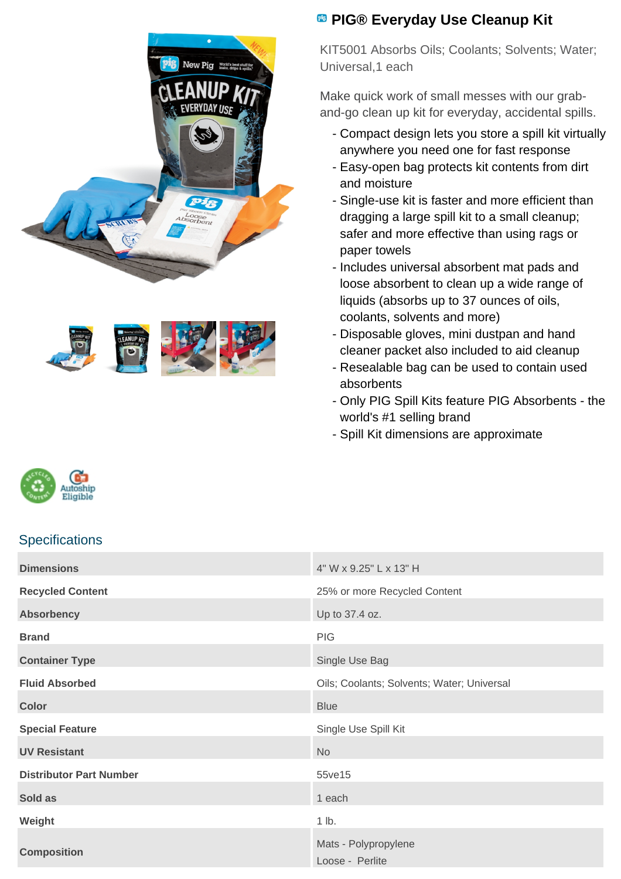



## **<sup><b>B</sup>** PIG® Everyday Use Cleanup Kit</sup>

KIT5001 Absorbs Oils; Coolants; Solvents; Water; Universal,1 each

Make quick work of small messes with our graband-go clean up kit for everyday, accidental spills.

- Compact design lets you store a spill kit virtually anywhere you need one for fast response
- Easy-open bag protects kit contents from dirt and moisture
- Single-use kit is faster and more efficient than dragging a large spill kit to a small cleanup; safer and more effective than using rags or paper towels
- Includes universal absorbent mat pads and loose absorbent to clean up a wide range of liquids (absorbs up to 37 ounces of oils, coolants, solvents and more)
- Disposable gloves, mini dustpan and hand cleaner packet also included to aid cleanup
- Resealable bag can be used to contain used absorbents
- Only PIG Spill Kits feature PIG Absorbents the world's #1 selling brand
- Spill Kit dimensions are approximate



## **Specifications**

| <b>Dimensions</b>              | 4" W x 9.25" L x 13" H                     |
|--------------------------------|--------------------------------------------|
| <b>Recycled Content</b>        | 25% or more Recycled Content               |
| <b>Absorbency</b>              | Up to 37.4 oz.                             |
| <b>Brand</b>                   | <b>PIG</b>                                 |
| <b>Container Type</b>          | Single Use Bag                             |
| <b>Fluid Absorbed</b>          | Oils; Coolants; Solvents; Water; Universal |
| <b>Color</b>                   | <b>Blue</b>                                |
| <b>Special Feature</b>         | Single Use Spill Kit                       |
| <b>UV Resistant</b>            | <b>No</b>                                  |
| <b>Distributor Part Number</b> | 55ve15                                     |
| Sold as                        | 1 each                                     |
| Weight                         | 1 lb.                                      |
| <b>Composition</b>             | Mats - Polypropylene<br>Loose - Perlite    |